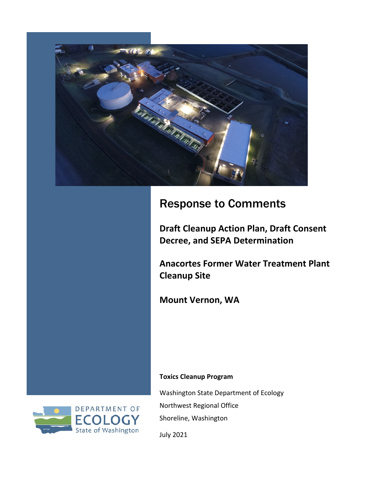

### Response to Comments

**Draft Cleanup Action Plan, Draft Consent Decree, and SEPA Determination** 

**Anacortes Former Water Treatment Plant Cleanup Site**

**Mount Vernon, WA**

#### **Toxics Cleanup Program**

Washington State Department of Ecology Northwest Regional Office Shoreline, Washington



July 2021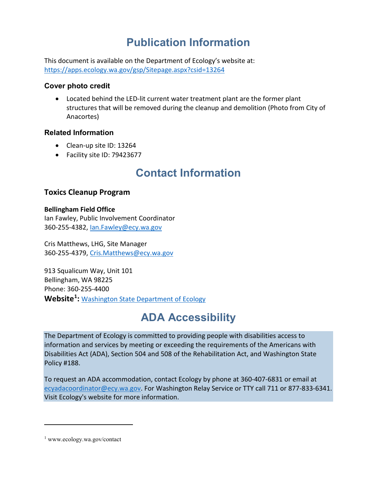## **Publication Information**

This document is available on the Department of Ecology's website at: <https://apps.ecology.wa.gov/gsp/Sitepage.aspx?csid=13264>

#### **Cover photo credit**

• Located behind the LED-lit current water treatment plant are the former plant structures that will be removed during the cleanup and demolition (Photo from City of Anacortes)

#### **Related Information**

- Clean-up site ID: 13264
- Facility site ID: 79423677

### **Contact Information**

### **Toxics Cleanup Program**

#### **Bellingham Field Office**

Ian Fawley, Public Involvement Coordinator 360-255-4382, [Ian.Fawley@ecy.wa.gov](mailto:Ian.Fawley@ecy.wa.gov)

Cris Matthews, LHG, Site Manager 360-255-4379, [Cris.Matthews@ecy.wa.gov](mailto:Cris.Matthews@ecy.wa.gov)

913 Squalicum Way, Unit 101 Bellingham, WA 98225 Phone: 360-255-4400 **Website[1](#page-1-0) :** [Washington State Department of Ecology](https://ecology.wa.gov/contact)

## **ADA Accessibility**

The Department of Ecology is committed to providing people with disabilities access to information and services by meeting or exceeding the requirements of the Americans with Disabilities Act (ADA), Section 504 and 508 of the Rehabilitation Act, and Washington State Policy #188.

To request an ADA accommodation, contact Ecology by phone at 360-407-6831 or email at [ecyadacoordinator@ecy.wa.gov.](mailto:ecyadacoordinator@ecy.wa.gov) For Washington Relay Service or TTY call 711 or 877-833-6341. Visi[t Ecology's website f](https://ecology.wa.gov/About-us/Accountability-transparency/Our-website/Accessibility)or more information.

<span id="page-1-0"></span><sup>1</sup> www.ecology.wa.gov/contact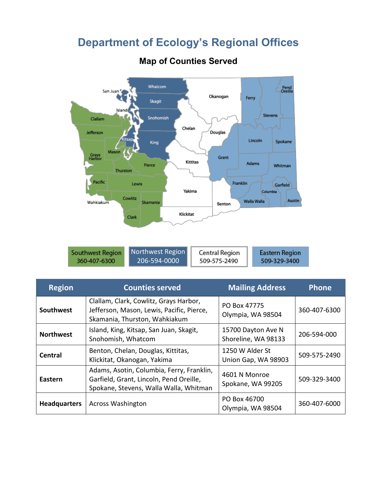### **Department of Ecology's Regional Offices**



### **Map of Counties Served**

| <b>Southwest Region</b> |  |
|-------------------------|--|
| 360-407-6300            |  |

| orthwest Region |  |
|-----------------|--|
| 206-594-0000    |  |

Central Region 509-575-2490

509-329-3400

| <b>Region</b>       | <b>Counties served</b><br><b>Mailing Address</b>                                                                                                                     |                                           | <b>Phone</b> |
|---------------------|----------------------------------------------------------------------------------------------------------------------------------------------------------------------|-------------------------------------------|--------------|
| Southwest           | Clallam, Clark, Cowlitz, Grays Harbor,<br>Jefferson, Mason, Lewis, Pacific, Pierce,<br>Skamania, Thurston, Wahkiakum                                                 | PO Box 47775<br>Olympia, WA 98504         | 360-407-6300 |
| <b>Northwest</b>    | Island, King, Kitsap, San Juan, Skagit,<br>Snohomish, Whatcom                                                                                                        | 15700 Dayton Ave N<br>Shoreline, WA 98133 | 206-594-000  |
| <b>Central</b>      | Benton, Chelan, Douglas, Kittitas,<br>Klickitat, Okanogan, Yakima                                                                                                    | 1250 W Alder St<br>Union Gap, WA 98903    | 509-575-2490 |
| Eastern             | Adams, Asotin, Columbia, Ferry, Franklin,<br>4601 N Monroe<br>Garfield, Grant, Lincoln, Pend Oreille,<br>Spokane, WA 99205<br>Spokane, Stevens, Walla Walla, Whitman |                                           | 509-329-3400 |
| <b>Headquarters</b> | <b>Across Washington</b>                                                                                                                                             | PO Box 46700<br>Olympia, WA 98504         | 360-407-6000 |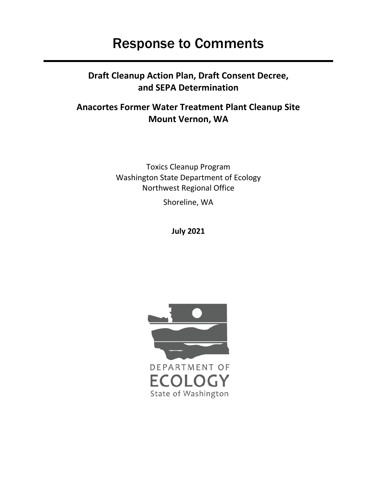# Response to Comments

### **Draft Cleanup Action Plan, Draft Consent Decree, and SEPA Determination**

### **Anacortes Former Water Treatment Plant Cleanup Site Mount Vernon, WA**

Toxics Cleanup Program Washington State Department of Ecology Northwest Regional Office

Shoreline, WA

**July 2021**

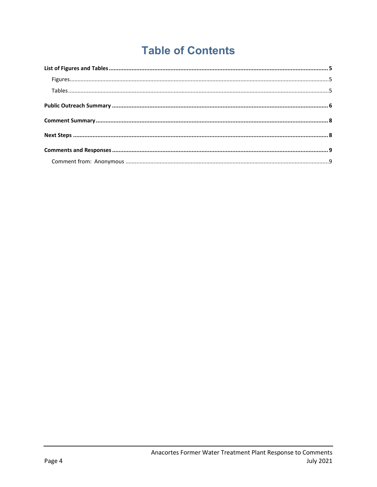# **Table of Contents**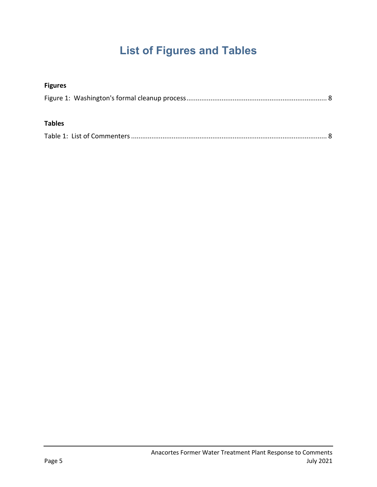# **List of Figures and Tables**

<span id="page-5-2"></span><span id="page-5-1"></span><span id="page-5-0"></span>

| <b>Figures</b> |  |
|----------------|--|
|                |  |
| <b>Tables</b>  |  |
|                |  |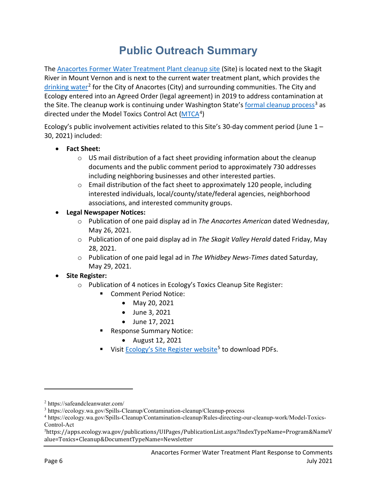## **Public Outreach Summary**

<span id="page-6-0"></span>The [Anacortes Former Water Treatment Plant cleanup site](https://apps.ecology.wa.gov/gsp/Sitepage.aspx?csid=13264) (Site) is located next to the Skagit River in Mount Vernon and is next to the current water treatment plant, which provides the [drinking water](https://safeandcleanwater.com/)<sup>[2](#page-6-1)</sup> for the City of Anacortes (City) and surrounding communities. The City and Ecology entered into an Agreed Order (legal agreement) in 2019 to address contamination at the Site. The cleanup work is continuing under Washington State's [formal cleanup process](https://ecology.wa.gov/Spills-Cleanup/Contamination-cleanup/Cleanup-process)<sup>[3](#page-6-2)</sup> as directed under the Model Toxics Control Act  $(MTCA<sup>4</sup>)$  $(MTCA<sup>4</sup>)$  $(MTCA<sup>4</sup>)$  $(MTCA<sup>4</sup>)$ 

Ecology's public involvement activities related to this Site's 30-day comment period (June 1 – 30, 2021) included:

- **Fact Sheet:**
	- $\circ$  US mail distribution of a fact sheet providing information about the cleanup documents and the public comment period to approximately 730 addresses including neighboring businesses and other interested parties.
	- $\circ$  Email distribution of the fact sheet to approximately 120 people, including interested individuals, local/county/state/federal agencies, neighborhood associations, and interested community groups.
- **Legal Newspaper Notices:**
	- o Publication of one paid display ad in *The Anacortes American* dated Wednesday, May 26, 2021.
	- o Publication of one paid display ad in *The Skagit Valley Herald* dated Friday, May 28, 2021.
	- o Publication of one paid legal ad in *The Whidbey News-Times* dated Saturday, May 29, 2021.
- **Site Register:**
	- o Publication of 4 notices in Ecology's Toxics Cleanup Site Register:
		- Comment Period Notice:
			- May 20, 2021
			- June 3, 2021
			- June 17, 2021
		- **Response Summary Notice:** 
			- August 12, 2021
		- Visi[t Ecology's Site Register website](https://apps.ecology.wa.gov/publications/UIPages/PublicationList.aspx?IndexTypeName=Program&NameValue=Toxics+Cleanup&DocumentTypeName=Newsletter)<sup>[5](#page-6-4)</sup> to download PDFs.

<span id="page-6-1"></span><sup>2</sup> https://safeandcleanwater.com/

<span id="page-6-2"></span><sup>3</sup> https://ecology.wa.gov/Spills-Cleanup/Contamination-cleanup/Cleanup-process

<span id="page-6-3"></span><sup>4</sup> https://ecology.wa.gov/Spills-Cleanup/Contamination-cleanup/Rules-directing-our-cleanup-work/Model-Toxics-Control-Act

<span id="page-6-4"></span><sup>5</sup> https://apps.ecology.wa.gov/publications/UIPages/PublicationList.aspx?IndexTypeName=Program&NameV alue=Toxics+Cleanup&DocumentTypeName=Newsletter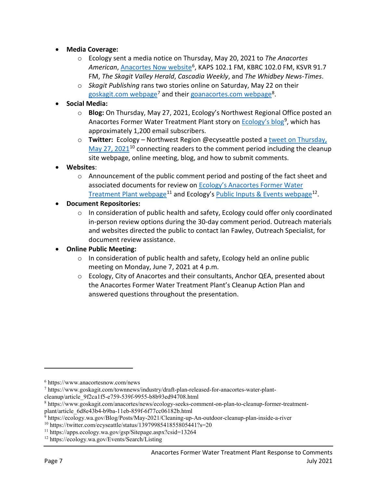- **Media Coverage:**
	- o Ecology sent a media notice on Thursday, May 20, 2021 to *The Anacortes*  American, [Anacortes Now website](https://www.anacortesnow.com/news)<sup>[6](#page-7-0)</sup>, KAPS 102.1 FM, KBRC 102.0 FM, KSVR 91.7 FM, *The Skagit Valley Herald*, *Cascadia Weekly*, and *The Whidbey News-Times*.
	- o *Skagit Publishing* rans two stories online on Saturday, May 22 on their [goskagit.com webpage](https://www.goskagit.com/townnews/industry/draft-plan-released-for-anacortes-water-plant-cleanup/article_9f2ca1f5-e759-539f-9955-b8b93ed94708.html)<sup>[7](#page-7-1)</sup> and their [goanacortes.com webpage](https://www.goskagit.com/anacortes/news/ecology-seeks-comment-on-plan-to-cleanup-former-treatment-plant/article_6d8e43b4-b9ba-11eb-859f-6f77cc06182b.html)<sup>8</sup>.
- **Social Media:**
	- o **Blog:** On Thursday, May 27, 2021, Ecology's Northwest Regional Office posted an Anacortes Former Water Treatment Plant story on **Ecology's blog<sup>[9](#page-7-3)</sup>**, which has approximately 1,200 email subscribers.
	- o **Twitter:** Ecology Northwest Region @ecyseattle posted [a tweet on Thursday,](https://twitter.com/ecyseattle/status/1397998541855805441?s=20)   $M$ ay 27, 2021<sup>[10](#page-7-4)</sup> connecting readers to the comment period including the cleanup site webpage, online meeting, blog, and how to submit comments.
- **Websites**:
	- o Announcement of the public comment period and posting of the fact sheet and associated documents for review on Ecology's Anacortes Former Water [Treatment Plant webpage](https://apps.ecology.wa.gov/gsp/Sitepage.aspx?csid=13264)<sup>[11](#page-7-5)</sup> and Ecology's [Public Inputs & Events webpage](https://ecology.wa.gov/Events/Search/Listing)<sup>12</sup>.
- **Document Repositories:**
	- o In consideration of public health and safety, Ecology could offer only coordinated in-person review options during the 30-day comment period. Outreach materials and websites directed the public to contact Ian Fawley, Outreach Specialist, for document review assistance.
- **Online Public Meeting:**
	- $\circ$  In consideration of public health and safety, Ecology held an online public meeting on Monday, June 7, 2021 at 4 p.m.
	- $\circ$  Ecology, City of Anacortes and their consultants, Anchor QEA, presented about the Anacortes Former Water Treatment Plant's Cleanup Action Plan and answered questions throughout the presentation.

<span id="page-7-0"></span><sup>6</sup> https://www.anacortesnow.com/news

<span id="page-7-1"></span><sup>7</sup> https://www.goskagit.com/townnews/industry/draft-plan-released-for-anacortes-water-plant-

cleanup/article\_9f2ca1f5-e759-539f-9955-b8b93ed94708.html

<span id="page-7-2"></span><sup>8</sup> https://www.goskagit.com/anacortes/news/ecology-seeks-comment-on-plan-to-cleanup-former-treatment-

plant/article\_6d8e43b4-b9ba-11eb-859f-6f77cc06182b.html

<sup>&</sup>lt;sup>9</sup> https://ecology.wa.gov/Blog/Posts/May-2021/Cleaning-up-An-outdoor-cleanup-plan-inside-a-river

<span id="page-7-4"></span><span id="page-7-3"></span><sup>10</sup> https://twitter.com/ecyseattle/status/1397998541855805441?s=20

<span id="page-7-5"></span><sup>11</sup> https://apps.ecology.wa.gov/gsp/Sitepage.aspx?csid=13264

<span id="page-7-6"></span><sup>12</sup> https://ecology.wa.gov/Events/Search/Listing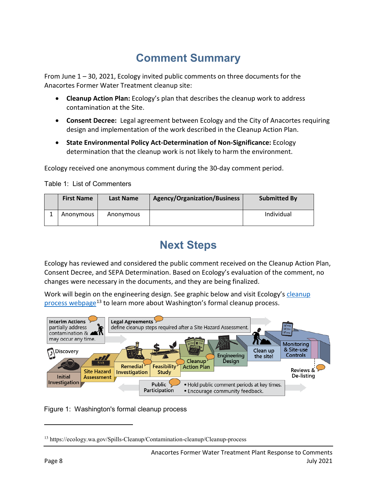# **Comment Summary**

<span id="page-8-0"></span>From June 1 – 30, 2021, Ecology invited public comments on three documents for the Anacortes Former Water Treatment cleanup site:

- **Cleanup Action Plan:** Ecology's plan that describes the cleanup work to address contamination at the Site.
- **Consent Decree:** Legal agreement between Ecology and the City of Anacortes requiring design and implementation of the work described in the Cleanup Action Plan.
- **State Environmental Policy Act-Determination of Non-Significance:** Ecology determination that the cleanup work is not likely to harm the environment.

Ecology received one anonymous comment during the 30-day comment period.

<span id="page-8-2"></span>Table 1: List of Commenters

| <b>First Name</b> | <b>Last Name</b> | Agency/Organization/Business | <b>Submitted By</b> |
|-------------------|------------------|------------------------------|---------------------|
| Anonymous         | Anonymous        |                              | Individual          |

## **Next Steps**

<span id="page-8-1"></span>Ecology has reviewed and considered the public comment received on the Cleanup Action Plan, Consent Decree, and SEPA Determination. Based on Ecology's evaluation of the comment, no changes were necessary in the documents, and they are being finalized.

Work will begin on the engineering design. See graphic below and visit Ecology's cleanup [process webpage](https://ecology.wa.gov/Spills-Cleanup/Contamination-cleanup/Cleanup-process)[13](#page-8-3) to learn more about Washington's formal cleanup process.





<span id="page-8-3"></span><sup>13</sup> https://ecology.wa.gov/Spills-Cleanup/Contamination-cleanup/Cleanup-process